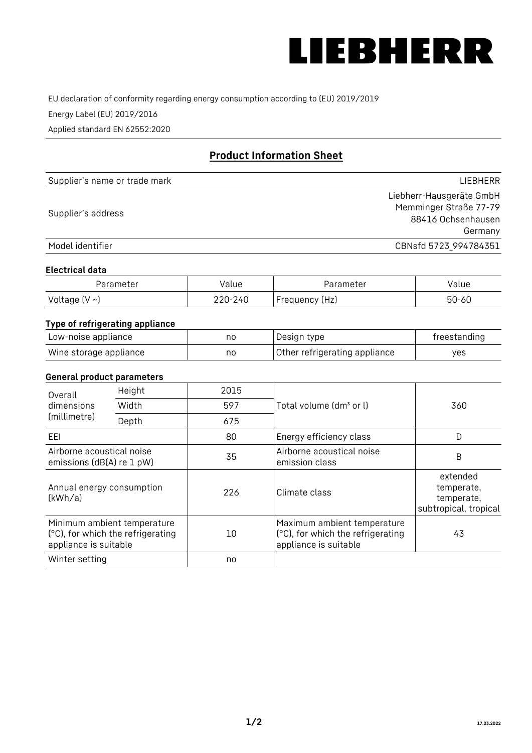

EU declaration of conformity regarding energy consumption according to (EU) 2019/2019

Energy Label (EU) 2019/2016

Applied standard EN 62552:2020

# **Product Information Sheet**

| Supplier's name or trade mark | LIEBHERR                 |
|-------------------------------|--------------------------|
|                               | Liebherr-Hausgeräte GmbH |
| Supplier's address            | Memminger Straße 77-79   |
|                               | 88416 Ochsenhausen       |
|                               | Germany                  |
| Model identifier              | CBNsfd 5723_994784351    |

#### **Electrical data**

| Parameter           | Value   | Parameter      | alue/     |
|---------------------|---------|----------------|-----------|
| Voltage (V $\sim$ ) | 220-240 | Frequency (Hz) | $50 - 60$ |

# **Type of refrigerating appliance**

| Low-noise appliance    | nc | Design type                   | freestanding |
|------------------------|----|-------------------------------|--------------|
| Wine storage appliance | nc | Other refrigerating appliance | ves          |

### **General product parameters**

| Height<br>Overall                                      |                                                                  | 2015 |                                                                                           |                                                               |
|--------------------------------------------------------|------------------------------------------------------------------|------|-------------------------------------------------------------------------------------------|---------------------------------------------------------------|
| dimensions<br>(millimetre)                             | Width                                                            | 597  | Total volume (dm <sup>3</sup> or l)                                                       | 360                                                           |
|                                                        | Depth                                                            | 675  |                                                                                           |                                                               |
| EEL                                                    |                                                                  | 80   | Energy efficiency class                                                                   | D                                                             |
| Airborne acoustical noise<br>emissions (dB(A) re 1 pW) |                                                                  | 35   | Airborne acoustical noise<br>emission class                                               | B                                                             |
| Annual energy consumption<br>(kWh/a)                   |                                                                  | 226  | Climate class                                                                             | extended<br>temperate,<br>temperate,<br>subtropical, tropical |
| appliance is suitable                                  | Minimum ambient temperature<br>(°C), for which the refrigerating | 10   | Maximum ambient temperature<br>(°C), for which the refrigerating<br>appliance is suitable | 43                                                            |
| Winter setting                                         |                                                                  | no   |                                                                                           |                                                               |